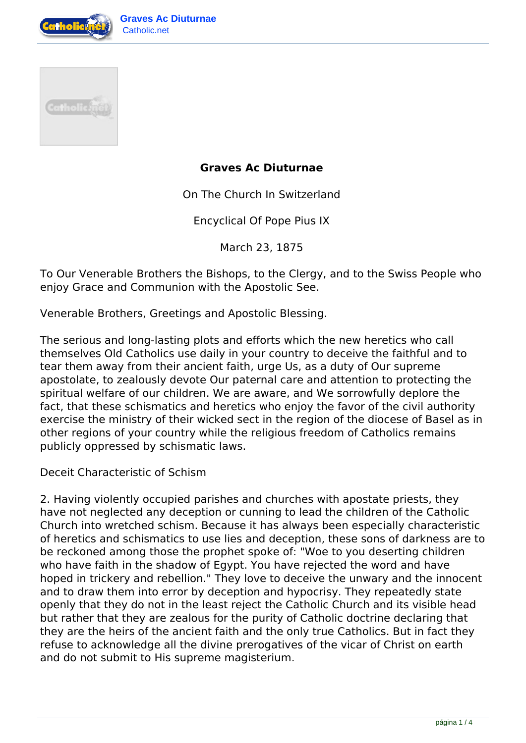



## **Graves Ac Diuturnae**

On The Church In Switzerland

Encyclical Of Pope Pius IX

March 23, 1875

To Our Venerable Brothers the Bishops, to the Clergy, and to the Swiss People who enjoy Grace and Communion with the Apostolic See.

Venerable Brothers, Greetings and Apostolic Blessing.

The serious and long-lasting plots and efforts which the new heretics who call themselves Old Catholics use daily in your country to deceive the faithful and to tear them away from their ancient faith, urge Us, as a duty of Our supreme apostolate, to zealously devote Our paternal care and attention to protecting the spiritual welfare of our children. We are aware, and We sorrowfully deplore the fact, that these schismatics and heretics who enjoy the favor of the civil authority exercise the ministry of their wicked sect in the region of the diocese of Basel as in other regions of your country while the religious freedom of Catholics remains publicly oppressed by schismatic laws.

Deceit Characteristic of Schism

2. Having violently occupied parishes and churches with apostate priests, they have not neglected any deception or cunning to lead the children of the Catholic Church into wretched schism. Because it has always been especially characteristic of heretics and schismatics to use lies and deception, these sons of darkness are to be reckoned among those the prophet spoke of: "Woe to you deserting children who have faith in the shadow of Egypt. You have rejected the word and have hoped in trickery and rebellion." They love to deceive the unwary and the innocent and to draw them into error by deception and hypocrisy. They repeatedly state openly that they do not in the least reject the Catholic Church and its visible head but rather that they are zealous for the purity of Catholic doctrine declaring that they are the heirs of the ancient faith and the only true Catholics. But in fact they refuse to acknowledge all the divine prerogatives of the vicar of Christ on earth and do not submit to His supreme magisterium.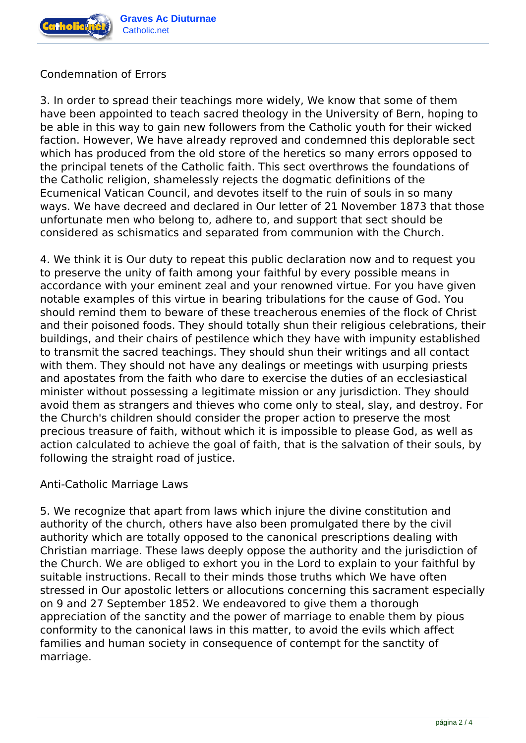

# Condemnation of Errors

3. In order to spread their teachings more widely, We know that some of them have been appointed to teach sacred theology in the University of Bern, hoping to be able in this way to gain new followers from the Catholic youth for their wicked faction. However, We have already reproved and condemned this deplorable sect which has produced from the old store of the heretics so many errors opposed to the principal tenets of the Catholic faith. This sect overthrows the foundations of the Catholic religion, shamelessly rejects the dogmatic definitions of the Ecumenical Vatican Council, and devotes itself to the ruin of souls in so many ways. We have decreed and declared in Our letter of 21 November 1873 that those unfortunate men who belong to, adhere to, and support that sect should be considered as schismatics and separated from communion with the Church.

4. We think it is Our duty to repeat this public declaration now and to request you to preserve the unity of faith among your faithful by every possible means in accordance with your eminent zeal and your renowned virtue. For you have given notable examples of this virtue in bearing tribulations for the cause of God. You should remind them to beware of these treacherous enemies of the flock of Christ and their poisoned foods. They should totally shun their religious celebrations, their buildings, and their chairs of pestilence which they have with impunity established to transmit the sacred teachings. They should shun their writings and all contact with them. They should not have any dealings or meetings with usurping priests and apostates from the faith who dare to exercise the duties of an ecclesiastical minister without possessing a legitimate mission or any jurisdiction. They should avoid them as strangers and thieves who come only to steal, slay, and destroy. For the Church's children should consider the proper action to preserve the most precious treasure of faith, without which it is impossible to please God, as well as action calculated to achieve the goal of faith, that is the salvation of their souls, by following the straight road of justice.

#### Anti-Catholic Marriage Laws

5. We recognize that apart from laws which injure the divine constitution and authority of the church, others have also been promulgated there by the civil authority which are totally opposed to the canonical prescriptions dealing with Christian marriage. These laws deeply oppose the authority and the jurisdiction of the Church. We are obliged to exhort you in the Lord to explain to your faithful by suitable instructions. Recall to their minds those truths which We have often stressed in Our apostolic letters or allocutions concerning this sacrament especially on 9 and 27 September 1852. We endeavored to give them a thorough appreciation of the sanctity and the power of marriage to enable them by pious conformity to the canonical laws in this matter, to avoid the evils which affect families and human society in consequence of contempt for the sanctity of marriage.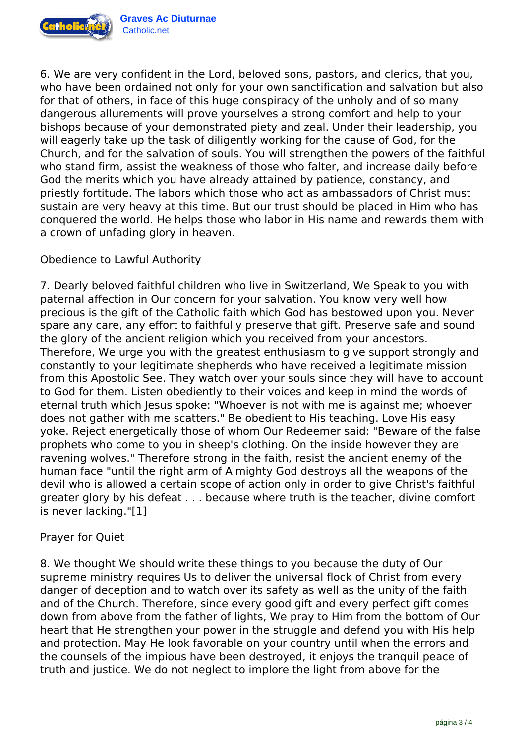

6. We are very confident in the Lord, beloved sons, pastors, and clerics, that you, who have been ordained not only for your own sanctification and salvation but also for that of others, in face of this huge conspiracy of the unholy and of so many dangerous allurements will prove yourselves a strong comfort and help to your bishops because of your demonstrated piety and zeal. Under their leadership, you will eagerly take up the task of diligently working for the cause of God, for the Church, and for the salvation of souls. You will strengthen the powers of the faithful who stand firm, assist the weakness of those who falter, and increase daily before God the merits which you have already attained by patience, constancy, and priestly fortitude. The labors which those who act as ambassadors of Christ must sustain are very heavy at this time. But our trust should be placed in Him who has conquered the world. He helps those who labor in His name and rewards them with a crown of unfading glory in heaven.

### Obedience to Lawful Authority

7. Dearly beloved faithful children who live in Switzerland, We Speak to you with paternal affection in Our concern for your salvation. You know very well how precious is the gift of the Catholic faith which God has bestowed upon you. Never spare any care, any effort to faithfully preserve that gift. Preserve safe and sound the glory of the ancient religion which you received from your ancestors. Therefore, We urge you with the greatest enthusiasm to give support strongly and constantly to your legitimate shepherds who have received a legitimate mission from this Apostolic See. They watch over your souls since they will have to account to God for them. Listen obediently to their voices and keep in mind the words of eternal truth which Jesus spoke: "Whoever is not with me is against me; whoever does not gather with me scatters." Be obedient to His teaching. Love His easy yoke. Reject energetically those of whom Our Redeemer said: "Beware of the false prophets who come to you in sheep's clothing. On the inside however they are ravening wolves." Therefore strong in the faith, resist the ancient enemy of the human face "until the right arm of Almighty God destroys all the weapons of the devil who is allowed a certain scope of action only in order to give Christ's faithful greater glory by his defeat . . . because where truth is the teacher, divine comfort is never lacking."[1]

#### Prayer for Quiet

8. We thought We should write these things to you because the duty of Our supreme ministry requires Us to deliver the universal flock of Christ from every danger of deception and to watch over its safety as well as the unity of the faith and of the Church. Therefore, since every good gift and every perfect gift comes down from above from the father of lights, We pray to Him from the bottom of Our heart that He strengthen your power in the struggle and defend you with His help and protection. May He look favorable on your country until when the errors and the counsels of the impious have been destroyed, it enjoys the tranquil peace of truth and justice. We do not neglect to implore the light from above for the